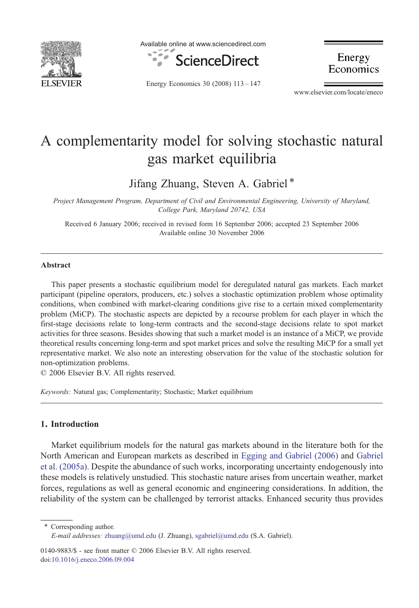

Available online at www.sciencedirect.com



Energy Economics 30 (2008) 113–147

Energy Economics

www.elsevier.com/locate/eneco

## A complementarity model for solving stochastic natural gas market equilibria

Jifang Zhuang, Steven A. Gabriel\*

Project Management Program, Department of Civil and Environmental Engineering, University of Maryland, College Park, Maryland 20742, USA

Received 6 January 2006; received in revised form 16 September 2006; accepted 23 September 2006 Available online 30 November 2006

## Abstract

This paper presents a stochastic equilibrium model for deregulated natural gas markets. Each market participant (pipeline operators, producers, etc.) solves a stochastic optimization problem whose optimality conditions, when combined with market-clearing conditions give rise to a certain mixed complementarity problem (MiCP). The stochastic aspects are depicted by a recourse problem for each player in which the first-stage decisions relate to long-term contracts and the second-stage decisions relate to spot market activities for three seasons. Besides showing that such a market model is an instance of a MiCP, we provide theoretical results concerning long-term and spot market prices and solve the resulting MiCP for a small yet representative market. We also note an interesting observation for the value of the stochastic solution for non-optimization problems.

© 2006 Elsevier B.V. All rights reserved.

Keywords: Natural gas; Complementarity; Stochastic; Market equilibrium

## 1. Introduction

Market equilibrium models for the natural gas markets abound in the literature both for the North American and European markets as described in [Egging and Gabriel \(2006\)](#page--1-0) and [Gabriel](#page--1-0) [et al. \(2005a\)](#page--1-0). Despite the abundance of such works, incorporating uncertainty endogenously into these models is relatively unstudied. This stochastic nature arises from uncertain weather, market forces, regulations as well as general economic and engineering considerations. In addition, the reliability of the system can be challenged by terrorist attacks. Enhanced security thus provides

⁎ Corresponding author.

0140-9883/\$ - see front matter © 2006 Elsevier B.V. All rights reserved. doi:[10.1016/j.eneco.2006.09.004](http://dx.doi.org/10.1016/j.eneco.2006.09.004)

E-mail addresses: [zhuang@umd.edu](mailto:zhuang@umd.edu) (J. Zhuang), [sgabriel@umd.edu](mailto:sgabriel@umd.edu) (S.A. Gabriel).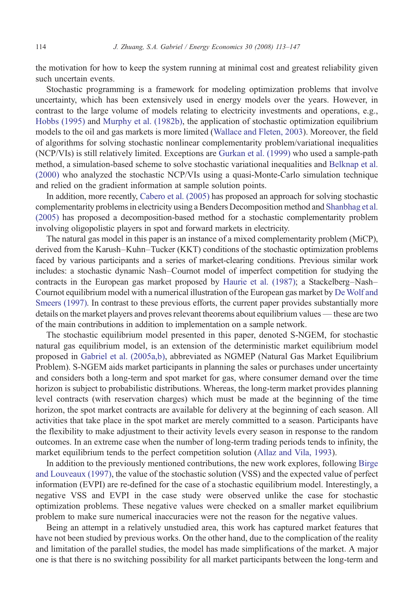the motivation for how to keep the system running at minimal cost and greatest reliability given such uncertain events.

Stochastic programming is a framework for modeling optimization problems that involve uncertainty, which has been extensively used in energy models over the years. However, in contrast to the large volume of models relating to electricity investments and operations, e.g., [Hobbs \(1995\)](#page--1-0) and [Murphy et al. \(1982b\),](#page--1-0) the application of stochastic optimization equilibrium models to the oil and gas markets is more limited ([Wallace and Fleten, 2003](#page--1-0)). Moreover, the field of algorithms for solving stochastic nonlinear complementarity problem/variational inequalities (NCP/VIs) is still relatively limited. Exceptions are [Gurkan et al. \(1999\)](#page--1-0) who used a sample-path method, a simulation-based scheme to solve stochastic variational inequalities and [Belknap et al.](#page--1-0) [\(2000\)](#page--1-0) who analyzed the stochastic NCP/VIs using a quasi-Monte-Carlo simulation technique and relied on the gradient information at sample solution points.

In addition, more recently, [Cabero et al. \(2005\)](#page--1-0) has proposed an approach for solving stochastic complementarity problems in electricity using a Benders Decomposition method and [Shanbhag et al.](#page--1-0) [\(2005\)](#page--1-0) has proposed a decomposition-based method for a stochastic complementarity problem involving oligopolistic players in spot and forward markets in electricity.

The natural gas model in this paper is an instance of a mixed complementarity problem (MiCP), derived from the Karush–Kuhn–Tucker (KKT) conditions of the stochastic optimization problems faced by various participants and a series of market-clearing conditions. Previous similar work includes: a stochastic dynamic Nash–Cournot model of imperfect competition for studying the contracts in the European gas market proposed by [Haurie et al. \(1987\);](#page--1-0) a Stackelberg–Nash– Cournot equilibrium model with a numerical illustration of the European gas market by [De Wolf and](#page--1-0) [Smeers \(1997\).](#page--1-0) In contrast to these previous efforts, the current paper provides substantially more details on the market players and proves relevant theorems about equilibrium values — these are two of the main contributions in addition to implementation on a sample network.

The stochastic equilibrium model presented in this paper, denoted S-NGEM, for stochastic natural gas equilibrium model, is an extension of the deterministic market equilibrium model proposed in [Gabriel et al. \(2005a,b\)](#page--1-0), abbreviated as NGMEP (Natural Gas Market Equilibrium Problem). S-NGEM aids market participants in planning the sales or purchases under uncertainty and considers both a long-term and spot market for gas, where consumer demand over the time horizon is subject to probabilistic distributions. Whereas, the long-term market provides planning level contracts (with reservation charges) which must be made at the beginning of the time horizon, the spot market contracts are available for delivery at the beginning of each season. All activities that take place in the spot market are merely committed to a season. Participants have the flexibility to make adjustment to their activity levels every season in response to the random outcomes. In an extreme case when the number of long-term trading periods tends to infinity, the market equilibrium tends to the perfect competition solution [\(Allaz and Vila, 1993\)](#page--1-0).

In addition to the previously mentioned contributions, the new work explores, following [Birge](#page--1-0) [and Louveaux \(1997\),](#page--1-0) the value of the stochastic solution (VSS) and the expected value of perfect information (EVPI) are re-defined for the case of a stochastic equilibrium model. Interestingly, a negative VSS and EVPI in the case study were observed unlike the case for stochastic optimization problems. These negative values were checked on a smaller market equilibrium problem to make sure numerical inaccuracies were not the reason for the negative values.

Being an attempt in a relatively unstudied area, this work has captured market features that have not been studied by previous works. On the other hand, due to the complication of the reality and limitation of the parallel studies, the model has made simplifications of the market. A major one is that there is no switching possibility for all market participants between the long-term and